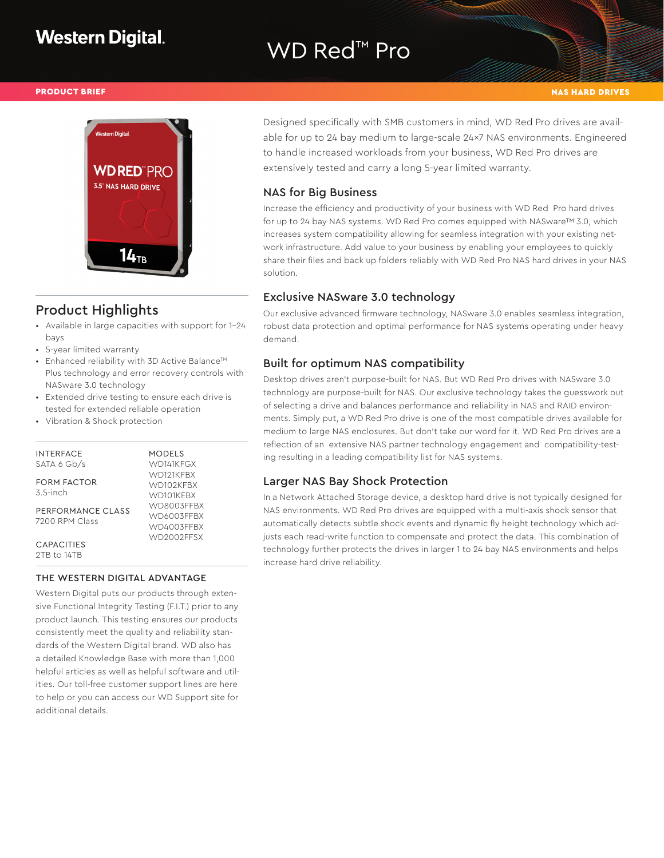# WD Red<sup>™</sup> Pro



# Product Highlights

- Available in large capacities with support for 1-24 bays
- 5-year limited warranty
- Enhanced reliability with 3D Active Balance<sup>TM</sup> Plus technology and error recovery controls with NASware 3.0 technology
- Extended drive testing to ensure each drive is tested for extended reliable operation
- Vibration & Shock protection

#### **INTERFACE** SATA 6 Gb/s FORM FACTOR 3.5-inch PERFORMANCE CLASS 7200 RPM Class **CAPACITIES** 2TB to 14TB MODELS WD141KFGX WD121KFBX WD102KFBX WD101KFBX WD8003FFBX WD6003FFBX WD4003FFBX WD2002FFSX

#### THE WESTERN DIGITAL ADVANTAGE

Western Digital puts our products through extensive Functional Integrity Testing (F.I.T.) prior to any product launch. This testing ensures our products consistently meet the quality and reliability standards of the Western Digital brand. WD also has a detailed Knowledge Base with more than 1,000 helpful articles as well as helpful software and utilities. Our toll-free customer support lines are here to help or you can access our WD Support site for additional details.

PRODUCT BRIEF NAS HARD DRIVES AND THE RESERVE OF THE RESERVE OF THE RESERVE OF THE RESERVE OF THE RESERVE OF T

Designed specifically with SMB customers in mind, WD Red Pro drives are available for up to 24 bay medium to large-scale 24x7 NAS environments. Engineered to handle increased workloads from your business, WD Red Pro drives are extensively tested and carry a long 5-year limited warranty.

#### NAS for Big Business

Increase the efficiency and productivity of your business with WD Red Pro hard drives for up to 24 bay NAS systems. WD Red Pro comes equipped with NASware™ 3.0, which increases system compatibility allowing for seamless integration with your existing network infrastructure. Add value to your business by enabling your employees to quickly share their files and back up folders reliably with WD Red Pro NAS hard drives in your NAS solution.

### Exclusive NASware 3.0 technology

Our exclusive advanced firmware technology, NASware 3.0 enables seamless integration, robust data protection and optimal performance for NAS systems operating under heavy demand.

### Built for optimum NAS compatibility

Desktop drives aren't purpose-built for NAS. But WD Red Pro drives with NASware 3.0 technology are purpose-built for NAS. Our exclusive technology takes the guesswork out of selecting a drive and balances performance and reliability in NAS and RAID environments. Simply put, a WD Red Pro drive is one of the most compatible drives available for medium to large NAS enclosures. But don't take our word for it. WD Red Pro drives are a reflection of an extensive NAS partner technology engagement and compatibility-testing resulting in a leading compatibility list for NAS systems.

### Larger NAS Bay Shock Protection

In a Network Attached Storage device, a desktop hard drive is not typically designed for NAS environments. WD Red Pro drives are equipped with a multi-axis shock sensor that automatically detects subtle shock events and dynamic fly height technology which adjusts each read-write function to compensate and protect the data. This combination of technology further protects the drives in larger 1 to 24 bay NAS environments and helps increase hard drive reliability.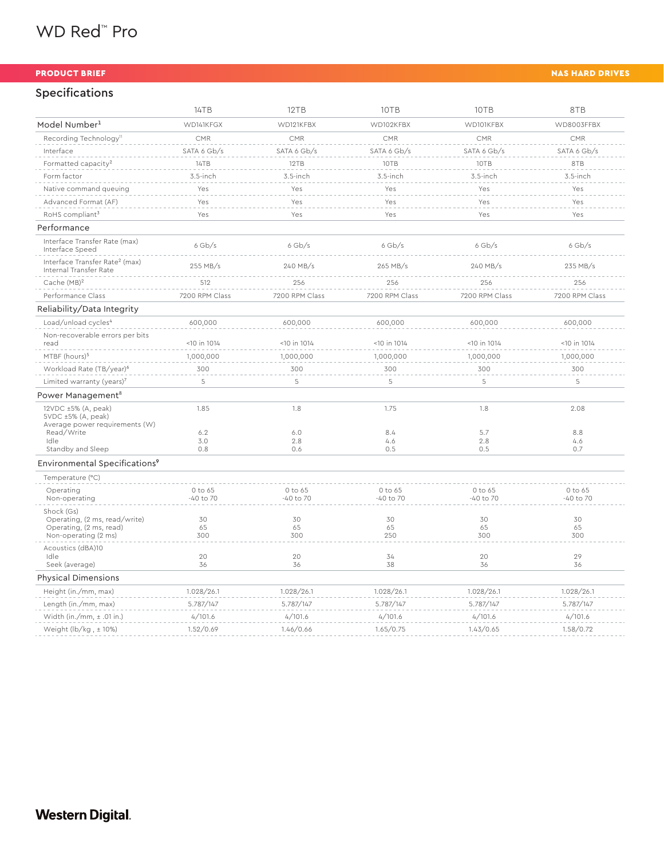|  | WD Red <sup>™</sup> Pro |  |
|--|-------------------------|--|
|--|-------------------------|--|

## Specifications

|                                                                                                 | 14TB                 | 12TB                     | 10TB                     | 10TB                     | 8TB                  |
|-------------------------------------------------------------------------------------------------|----------------------|--------------------------|--------------------------|--------------------------|----------------------|
| Model Number <sup>1</sup>                                                                       | WD141KFGX            | WD121KFBX                | WD102KFBX                | WD101KFBX                | WD8003FFBX           |
| Recording Technology <sup>n</sup>                                                               | CMR                  | CMR                      | CMR                      | <b>CMR</b>               | CMR                  |
| Interface                                                                                       | SATA 6 Gb/s          | SATA 6 Gb/s              | SATA 6 Gb/s              | SATA 6 Gb/s              | SATA 6 Gb/s          |
| Formatted capacity <sup>2</sup>                                                                 | 14TB                 | 12TB                     | 10TB                     | 10TB                     | 8TB                  |
| Form factor                                                                                     | 3.5-inch             | 3.5-inch                 | 3.5-inch                 | 3.5-inch                 | 3.5-inch             |
| Native command queuing                                                                          | Yes                  | Yes                      | Yes                      | Yes                      | Yes                  |
| Advanced Format (AF)                                                                            | Yes                  | Yes                      | Yes                      | Yes                      | Yes                  |
| RoHS compliant <sup>3</sup>                                                                     | Yes                  | Yes                      | Yes                      | Yes                      | Yes                  |
| Performance                                                                                     |                      |                          |                          |                          |                      |
| Interface Transfer Rate (max)<br>Interface Speed                                                | $6$ Gb/s             | $6$ Gb/s                 | $6$ Gb/s                 | $6$ Gb/s                 | $6$ Gb/s             |
| Interface Transfer Rate <sup>2</sup> (max)<br>Internal Transfer Rate                            | 255 MB/s             | 240 MB/s                 | 265 MB/s                 | 240 MB/s                 | 235 MB/s             |
| Cache (MB) <sup>2</sup>                                                                         | 512                  | 256                      | 256                      | 256                      | 256                  |
| Performance Class                                                                               | 7200 RPM Class       | 7200 RPM Class           | 7200 RPM Class           | 7200 RPM Class           | 7200 RPM Class       |
| Reliability/Data Integrity                                                                      |                      |                          |                          |                          |                      |
| Load/unload cycles <sup>4</sup>                                                                 | 600,000              | 600,000                  | 600,000                  | 600,000                  | 600,000              |
| Non-recoverable errors per bits<br>read                                                         | $<$ 10 in 1014       | <10 in 1014              | $<$ 10 in 1014           | $<$ 10 in 1014           | $<$ 10 in 1014       |
| MTBF (hours) <sup>5</sup>                                                                       | 1,000,000            | 1,000,000                | 1,000,000                | 1,000,000                | 1,000,000            |
| Workload Rate (TB/year) <sup>6</sup>                                                            | 300                  | 300                      | 300                      | 300                      | 300                  |
| Limited warranty (years) $7$                                                                    | 5                    | 5                        | 5                        | 5                        | 5                    |
| Power Management <sup>8</sup>                                                                   |                      |                          |                          |                          |                      |
| 12VDC ±5% (A, peak)<br>$5VDC \pm 5\%$ (A, peak)<br>Average power requirements (W)<br>Read/Write | 1.85<br>6.2          | 1.8<br>6.0               | 1.75<br>8.4              | 1.8<br>5.7               | 2.08<br>8.8          |
| Idle                                                                                            | 3.0                  | 2.8                      | 4.6                      | 2.8                      | 4.6                  |
| Standby and Sleep                                                                               | 0.8                  | 0.6                      | 0.5                      | 0.5                      | 0.7                  |
| Environmental Specifications <sup>9</sup>                                                       |                      |                          |                          |                          |                      |
| Temperature (°C)                                                                                |                      |                          |                          |                          |                      |
| Operating<br>Non-operating                                                                      | 0 to 65<br>-40 to 70 | 0 to 65<br>$-40$ to $70$ | 0 to 65<br>$-40$ to $70$ | 0 to 65<br>$-40$ to $70$ | 0 to 65<br>-40 to 70 |
| Shock (Gs)<br>Operating, (2 ms, read/write)<br>Operating, (2 ms, read)<br>Non-operating (2 ms)  | 30<br>65<br>300      | 30<br>65<br>300          | 30<br>65<br>250          | 30<br>65<br>300          | 30<br>65<br>300      |
| Acoustics (dBA)10<br>Idle<br>Seek (average)                                                     | 20<br>36             | 20<br>36                 | 34<br>38                 | 20<br>36                 | 29<br>36             |
| <b>Physical Dimensions</b>                                                                      |                      |                          |                          |                          |                      |
| Height (in./mm, max)                                                                            | 1.028/26.1           | 1.028/26.1               | 1.028/26.1               | 1.028/26.1               | 1.028/26.1           |
| Length (in./mm, max)                                                                            | 5.787/147            | 5.787/147                | 5.787/147                | 5.787/147                | 5.787/147            |
| Width (in./mm, $\pm$ .01 in.)                                                                   | 4/101.6              | 4/101.6                  | 4/101.6                  | 4/101.6                  | 4/101.6              |
| Weight (lb/kg, $\pm$ 10%)                                                                       | 1.52/0.69            | 1.46/0.66                | 1.65/0.75                | 1.43/0.65                | 1.58/0.72            |